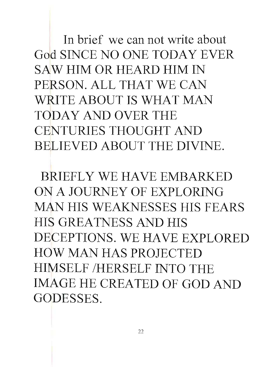God SINCE NO ONE TODAY EVER In brief we can not write about SAW HIM OR HEARD HIM IN PERSON. ALL THAT WE CAN WRITE ABOUT IS WHAT MAN TODAY AND OVER THE CENTURIES THOUGHT AND BELIEVED ABOUT THE DIVINE.

BRIEFLY WE HAVE EMBARKED ON A JOURNEY OF EXPLORING M4N HIS WEAKNESSES HIS FEARS HIS GREATNESS AND HIS DECEPTIONS. WE HAVE EXPLORED HOW MAN HAS PROJECTED HIMSELF /HERSELF INTO THE IMAGE HE CREATED OF GOD AND GODESSES.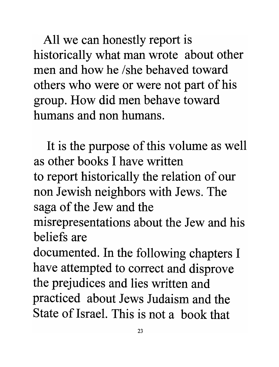All we can honestly report is historically what man wrote about other men and how he *Ishe* behaved toward others who were or were not part of his group. How did men behave toward humans and non humans.

It is the purpose of this volume as well as other books I have written to report historically the relation of our non Jewish neighbors with Jews. The saga of the Jew and the misrepresentations about the Jew and his beliefs are

documented. In the following chapters I have attempted to correct and disprove the prejudices and lies written and practiced about Jews Judaism and the State of Israel. This is not a book that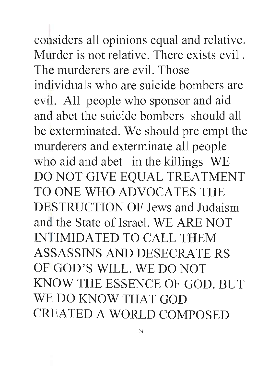considers all opinions equal and relative. Murder is not relative. There exists evil. The murderers are evil. Those individuals who are suicide bombers are evil. All people who sponsor and aid and abet the suicide bombers should all be exterminated. We should pre empt the murderers and exterminate all people who aid and abet in the killings WE DO NOT GIVE EQUAL TREATMENT TO ONE WHO ADVOCATES THE DESTRUCTION OF Jews and Judaism and the State of Israel. WE ARE NOT INTIMIDATED TO CALL THEM ASSASSINS AND DESECRATE RS OF GOD'S WILL. WE DO NOT KNOW THE ESSENCE OF GOD. BUT WE DO KNOW THAT GOD CREATED A WORLD COMPOSED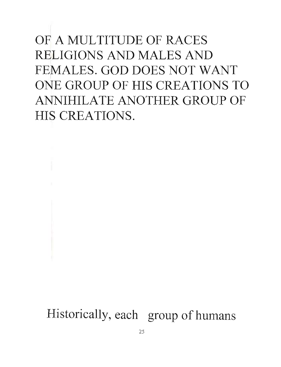## OF A MULTITUDE OF RACES RELIGIONS AND MALES AND FEMALES. GOD DOES NOT WANT ONE GROUP OF HIS CREATIONS TO ANNIHILATE ANOTHER GROUP OF HIS CREATIONS.

Historically, each group of humans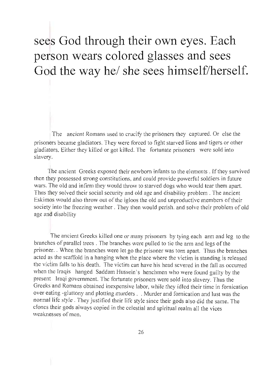## sees God through their own eyes. Each **person wears colored glasses and sees God the way he/ she sees himself/herself.**

The ancient Romans used to crucify the prisoners they captured. Or else the prisoners became gladiators. They were forced to tight starved lions and tigers or other gladiators. Either they killed or got killed. The fortunate prisoners were sold into slavery.

The ancient Greeks exposed their newborn infants to the elements. If they survived then they possessed strong constitutions, and could provide powerful soldiers in future wars. The old and infirm they would throw to starved dogs who would tear them apart. Thus they solved their social security and old age and disability problem. The ancient Eskimos would also throw out of the igloos the old and unproductive members of their society into the freezing weather. They then would perish, and solve their problem of old age and disability

The ancient Greeks killed one or many prisoners by tying each arm and leg to the branches of parallel trees . The branches were pulled to tie the arm and legs of the prisoner. . When the branches were let go the prisoner was torn apart. Thus the branches acted as the scaffold in a hanging when the place where the victim is standing is released the victim falls to his death. The victim can have his head severed in the fall as occurred when the Iraqis hanged Saddam Hussein's henchmen who were found guilty by the present Iraqi government. The fortunate prisoners were sold into slavery. Thus the Greeks and Romans obtained inexpensive labor, while they idled their time in fornication over eating -gluttony and plotting murders .. Murder and fornication and lust was the normal life style . They justified their life style since their gods also did the same. The clones their gods always copied in the celestial and spiritual realm all the vices weaknesses of men.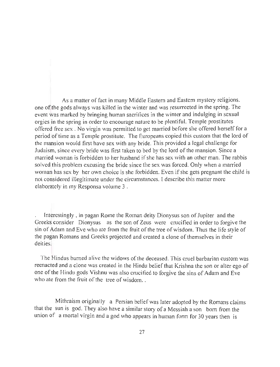As a matter of fact in many Middle Eastern and Eastern mystery religions. one of the gods always was killed in the winter and was resurrected in the spring. The event was marked by bringing human sacrifices in the winter and indulging in sexual orgies in the spring in order to encourage nature to be plentiful. Temple prostitutes offered free sex. No virgin was permitted to get married before she offered herself for a period of time as a Temple prostitute. The Europeans copied this custom that the lord of the mansion would first have sex with any bride. This provided a legal challenge for Judaism, since every bride was first taken to bed by the lord of the mansion . Since a married woman is forbidden to her husband if she has sex with an other man. The rabbis solved this problem excusing the bride since the sex was forced. Only when a married woman has sex by her own choice is she forbidden. Even if she gets pregnant the child is not considered illegitimate under the circumstances. I describe this matter more elaborately in my Responsa volume 3 .

Interestingly, in pagan Rome the Roman deity Dionysus son of Jupiter and the Greeks consider Dionysus as the son of Zeus were crucified in order to forgive the sin of Adam and Eve who ate from the fruit of the tree of wisdom. Thus the li fe style of the pagan Romans and Greeks projected and created a clone of themselves in their deities.

The Hindus burned alive the widows of the deceased. This cruel barbarian custom was reenacted and a clone was created in the Hindu belief that Krishna the son or alter ego of one of the Hindu gods Vishnu was also crucified to forgive the sins of Adam and Eve who ate from the fruit of the tree of wisdom.

Mithraism originally a Persian belief was later adopted by the Romans claims that the sun is god. They also have a similar story of a Messiah a son born from the union of a mortal virgin and a god who appears in human form for 30 years then is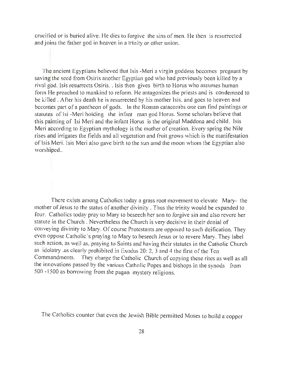crucified or is buried alive. He dies to forgive the sins of men. He then is resurrected and joins the father god in heaven in a trinity or other union.

The ancient Egyptians believed that Isis -Meri a virgin goddess becomes pregnant by saving the seed from Osiris another Egyptian god who had previously been killed by a rival god. Isis resurrects Osiris. . Isis then gives birth to Horus who assumes human form He preached to mankind to reform. He antagonizes the priests and is condemned to be killed. After his death he is resurrected by his mother Isis. and goes to heaven and becomes part of a pantheon of gods. In the Roman catacombs one can find paintings or statutes of lsi -Meri holding the infant man god Horus. Some scholars believe that this painting of lsi Meri and the in fant Horus is the original Maddona and child. Isis Meri according to Egyptian mythology is the mother of creation. Every spring the Nile rises and irrigates the fields and all vegetation and fruit grows which is the manifestation of Isis Meri. Isis Meri also gave birth to the sun amd the moon whom the Egyptian also worshiped..

There exists among Catholics today a grass root movement to elevate Mary- the mother of Jesus to the status of another divinity. Thus the trinity would be expanded to four. Catholics today pray to Mary to beseech her son to forgive sin and also revere her statute in the Church. Nevertheless the Church is very decisive in their denial of conveying divinity to Mary. Of course Protestants are opposed to such deification. They even oppose Catholic's praying to Mary to beseech Jesus or to revere Mary. They label such action, as well as, praying to Saints and having their statutes in the Catholic Church as idolatry .as clearly prohibited in Exodus 20: 2, 3 and 4 the first of the Ten Commandments. They charge the Catholic Church of copying these rites as well as all the innovations passed by the various Catholic Popes and bishops in the synods from 500 -1 500 as borrowing from the pagan mystery religions.

The Catholics counter that even the Jewish Bible permitted Moses to build a copper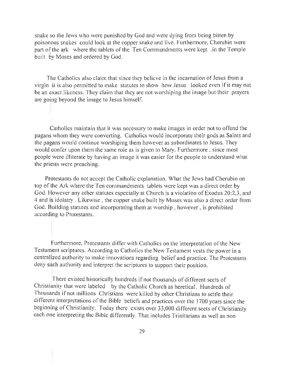snake so the Jews who were punished by God and were dying from being bitten by poisonous snakes could look at the copper snake and live. Furthermore, Cherubin were part of the ark where the tablets of the Ten Commandments were kept .in the Temple built by Moses and ordered by God.

The Catholics also claim that since they believe in the incarnation of Jesus from a virgin it is also permitted to make statutes to show how.Jesus looked even if it may not be an exact likeness. They claim that they are not worshiping the image but their prayers are going beyond the image to Jesus himself.

Catholics maintain that it was necessary to make images in order not to offend the pagans whom they were converting. Catholics would incorporate their gods as Saints and the pagans would continue worshiping them however as subordinates to Jesus. They would confer upon them the same role as is given to Mary. Furthermore , since most people were illiterate by having an image it was easier for the people to understand what the priests were preaching.

Protestants do not accept the Catholic explanation. What the Jews had Cherubin on top of the Ark where the Ten commandments tablets were kept was a direct order by God. However any other statutes especially at Church is a violation of Exodus 20:2,3, and 4 and is idolatry. Likewise, the copper snake built by Moses was also a direct order from God. Building statutes and incorporating them at worship , however , is prohibited according to Protestants.

Furthermore, Protestants differ with Catholics on the interpretation of the New Testament scriptures. According to Catholics the New Testament vests the power in a centralized authority to make innovations regarding belief and practice. The Protestants deny such authority and interpret the scriptures to support their position.

There existed historically hundreds if not thousands of different sects of Christianity that were labeled by the Catholic Church as heretical. Hundreds of Thousands if not millions Christians were killed by other Christians to settle their different interpretations of the Bible beliefs and practices over the 1700 years since the beginning of Christianity. Today there exists over 33,000 different sects of Christianity each one interpreting the Bible differently. That includes Trinitarians as well as non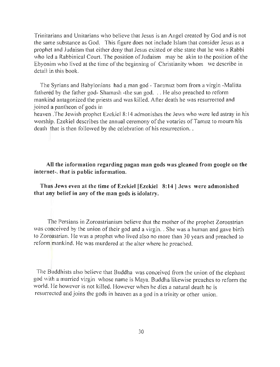Trinitarians and Unitarians who believe that Jesus is an Angel created by God and is not the same substance as God. This figure does not include Islam that consider Jesus as a prophet and Judaism that either deny that Jesus existed or else state that he was a Rabbi who led a Rabbinical Court. The position of Judaism may be akin to the position of the Ebyonim who lived at the time of the beginning of Christianity whom we describe in detail in this book.

The Syrians and Babylonians had a man god - Tammuz born from a virgin -Malitta fathered by the father god- Shamash -the sun god. . . He also preached to reform mankind antagonized the priests and was killed. After death he was resurrected and joined a pantheon of gods in

heaven .The Jewish prophet Ezekiel 8:14 admonishes the Jews who were led astray in his worship. Ezekiel describes the annual ceremony of the votaries of Tamuz to mourn his death that is then followed by the celebration of his resurrection. .

All the information regarding pagan man gods was gleaned from google on the internet-. that is public information.

Thus Jews even at the time of Ezekiel [Ezekiel  $8:14$ ] Jews were admonished that any belief in any of the man gods is idolatry.

The Persians in Zoroastrianism believe that the mother of the prophet Zoroastrian was conceived by the union of their god and a virgin .. She was a human and gave birth to Zoroastrian. He was a prophet who lived also no more than 30 years and preached to reform mankind. He was murdered at the alter where he preached.

The Buddhists also believe that Buddha was conceived from the union of the elephant god with a married virgin whose name is Maya. Buddha likewise preaches to reform the world. He however is not killed. However when he dies a natural death he is resurrected and joins the gods in heaven as a god in a trinity or other union.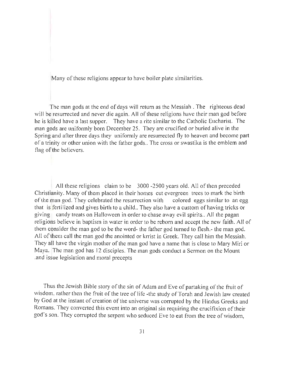Many of these religions appear to have boiler plate similarities.

The man gods at the end of days will return as the Messiah . The righteous dead will be resurrected and never die again. All of these religions have their man god before he is killed have a last supper. They have a rite similar to the Catholic Eucharist. The man gods are uniformly born December 25. They are crucified or buried alive in the Spring and after three days they uniformly are resurrected fly to heaven and become part of a trinity or other union with the father gods .. The cross or swastika is the emblem and flag of the believers.

All these religions claim to be 3000 -2500 years old. All of then preceded Christianity. Many of them placed in their homes cut evergreen trees to mark the birth of the man god. They celebrated the resurrection with colored eggs similar to an egg that is fertilized and gives birth to a child.. They also have a custom of having tricks or giving candy treats on Halloween in order to chase away evil spirits.. All the pagan religions believe in baptism in water in order to be reborn and accept the new faith. All of them consider the man god to be the word- the father god turned to flesh.- the man god. All of them call the man god the anointed or krrist in Greek. They call him the Messiah. They all have the virgin mother of the man god have a name that is close to Mary Miri or Maya. The man god has 12 disciples. The man gods conduct a Sermon on the Mount .and issue legislation and moral precepts

Thus the Jewish Bible story of the sin of Adam and Eve of partaking of the fruit of wisdom, rather then the fruit of the tree of life -the study of Torah and Jewish law created by God at the instant of creation of the universe was corrupted by the Hindus Greeks and Romans. They converted this event into an original sin requiring the crucifixion of their god's son. They corrupted the serpent who seduced Eve to eat from the tree of wisdom,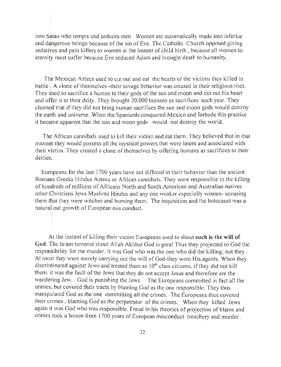into Satan who tempts and seduces men. Women are automatically made into inferior and dangerous beings because of the sin of Eve. The Catholic Church opposed giving sedatives and pain killers to women at the instant of child birth , because all women to eternity must suffer because Eve seduced Adam and brought death to humanity.

The Mexican Aztecs used to cut out and eat the hearts of the victims they killed in battle . A clone of themselves -their savage behavior was created in their religious rites. They used to sacrifice a human to their gods of the sun and moon and cut out his heart and offer it to their deity. They brought 20,000 humans as sacrifices each year. They claimed that if they did not bring human sacrifices the sun and moon gods would destroy the earth and universe. When the Spaniards conquered Mexico and forbade this practice it became apparent that the sun and moon gods would not destroy the world.

The African cannibals used to kill their victim and eat them. They believed that in that manner they would possess all the mystical powers that were latent and associated with their victim. They created a clone of themselves by offering humans as sacrifices to their deities.

Europeans for the last 1700 years have not differed in their behavior than the ancient Romans Greeks Hindus Aztecs or African cannibals. They were responsible in the killing of hundreds of millions of Africans North and South American and Australian natives other Christians Jews Muslims Hindus and anyone weaker especially women- accusing them that they were witches and burning them. The inquisition and the holocaust was a natural out growth of European mis conduct.

At the instant of killing their victim Europeans used to shout **such is the will of**  God. The Islam terrorist shout Allah Akhbar God is great Thus they projected to God the responsibility for the murder. It was God who was the one who did the killing; not they. At most they were merely carrying out the will of God-they were His agents. When they discriminated against Jews and treated them as  $10<sup>th</sup>$  class citizens, if they did not kill them, it was the fault of the Jews that they do not accept Jesus and therefore are the wandering Jew. . God is punishing the Jews The Europeans committed in fact all the crimes, but covered their tracts by blaming God as the one responsible. They thus manipulated God as the one committing all the crimes. The Europeans thus covered their crimes , blaming God as the perpetrator of the crimes. When they killed Jews again it was God who was responsible. Freud in his theories of projection of blame and crimes took a lesson from 1700 years of European misconduct treachery and murder .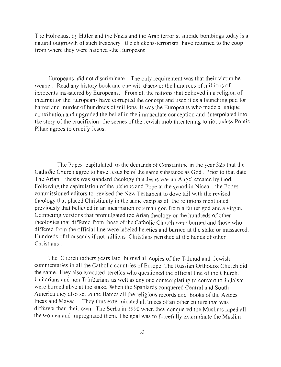The Holocaust by Hitler and the Nazis and the Arab terrorist suicide bombings today is a natural outgrowth of such treachery the chickens-terrorism have returned to the coop from where they were hatched -the Europeans.

Europeans did not discriminate .. The only requirement was that their victim be weaker. Read any history book and one will discover the hundreds of millions of innocents massacred by Europeans. From all the nations that believed in a religion of incarnation the Europeans have corrupted the concept and used it as a launching pad for hatred and murder of hundreds of millions. It was the Europeans who made a unique contribution and upgraded the belief in the immaculate conception and interpolated into the story of the crucifixion- the scenes of the Jewish mob threatening to riot unless Pontis Pilate agrees to crucify Jesus.

The Popes capitulated to the demands of Constantine in the year 325 that the Catholic Church agree to have Jesus be of the same substance as God. Prior to that date The Arian thesis was standard theology that Jesus was an Angel created by God. Following the capitulation of the bishops and Pope at the synod in Nicea, the Popes commissioned editors to revised the New Testament to dove tail with the revised theology that placed Christianity in the same camp as all the religions mentioned previously that believed in an incarnation of a man god from a father god and a virgin. Competing versions that promulgated the Arian theology or the hundreds of other theologies that differed from those of the Catholic Church were burned and those who differed from the official line were labeled heretics and burned at the stake or massacred. Hundreds of thousands if not millions Christians perished at the hands of other Christians.

The Church fathers years later burned all copies of the Talmud and Jewish commentaries in all the Catholic countries of Europe. The Russian Orthodox Church did the same. They also executed heretics who questioned the official line of the Church. Unitarians and non Trinitarians as well as any one contemplating to convert to Judaism were burned alive at the stake. When the Spaniards conquered Central and South America they also set to the flames all the religious records and books of the Aztecs Incas and Mayas. They thus exterminated all traces of an other culture that was different than their own. The Serbs in 1990 when they conquered the Muslims raped all the women and impregnated them. The goal was to forcefully exterminate the Muslim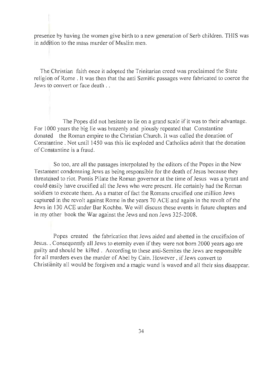presence by having the women give birth to a new generation of Serb children. THIS was in addition to the mass murder of Muslim men.

The Christian faith once it adopted the Trinitarian creed was proclaimed the State religion of Rome. It was then that the anti Semitic passages were fabricated to coerce the Jews to convert or face death ..

The Popes did not hesitate to lie on a grand scale if it was to their advantage. For 1000 years the big lie was brazenly and piously repeated that Constantine donated the Roman empire to the Christian Church. It was called the donation of Constantine. Not until 1450 was this lie exploded and Catholics admit that the donation of Constantine is a fraud.

So too, are all the passages interpolated by the editors of the Popes in the New Testament condemning Jews as being responsible for the death of Jesus because they threatened to riot. Pontis Pilate the Roman governor at the time of Jesus was a tyrant and could easily have crucified all the Jews who were present. He certainly had the Roman soldiers to execute them. As a matter of fact the Romans crucified one million Jews captured in the revolt against Rome in the years 70 ACE and again in the revolt of the Jews in [30 ACE under Bar Kochba. We will discuss these events in future chapters and in my other book the War against the Jews and non Jews 325-2008.

Popes created the fabrication that Jews aided and abetted in the crucifixion of Jesus. Consequently all Jews to eternity even if they were not born 2000 years ago are guilty and should be killed. According to these anti-Semites the Jews are responsible for all murders even the murder of Abel by Cain. However, if Jews convert to Christianity all would be forgiven and a magic wand is waved and all their sins disappear.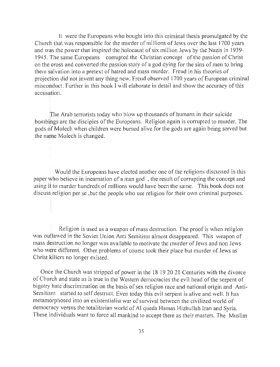It were the Europeans who bought into this criminal thesis promulgated by the Church that was responsible for the murder of millions of Jews over the last 1700 years and was the power that inspired the holocaust of six million Jews by the Nazis in 1939- 1945. The same Europeans corrupted the Christian concept of the passion of Christ on the cross and converted the passion story of a god dying for the sins of men to bring them salvation into a pretext of hatred and mass murder. Freud in his theories of projection did not invent any thing new. Freud observed 1700 years of European criminal misconduct. Further in this book I will elaborate in detail and show the accuracy of this accusation .

The Arab terrorists today who blow up thousands of humans in their suicide bombings are the disciples of the Europeans. Religion again is corrupted to murder. The gods of Molech when children were burned alive for the gods are again being served but the name Molech is changed.

Would the Europeans have elected another one of the religions discussed in this paper who believe in incarnation of a man god, the result of corrupting the concept and using it to murder hundreds of millions would have been the same. This book does not discuss religion per se ,but the people who use religion for their own criminal purposes.

Religion is used as a weapon of mass destruction. The proof is when religion was outlawed in the Soviet Union Anti Semitism almost disappeared. This weapon of mass destruction no longer was available to motivate the murder of Jews and non Jews who were different. Other problems of course took their place but murder of Jews as Christ killers no longer existed.

Once the Church was stripped of power in the 18 19 20 21 Centuries with the divorce of Church and state as is true in the Western democracies the evil head of the serpent of bigotry hate discrimination on the basis of sex religion race and national origin and Anti-Semitism started to self destruct. Even today this evil serpent is alive and well. **It** has metamorphosed into an existentialist war of survival between the civilized world of democracy versus the totalitarian world of AI queda Hamas Hizbullah Iran and Syria. These individuals want to force all mankind to accept them as their masters. The Muslim